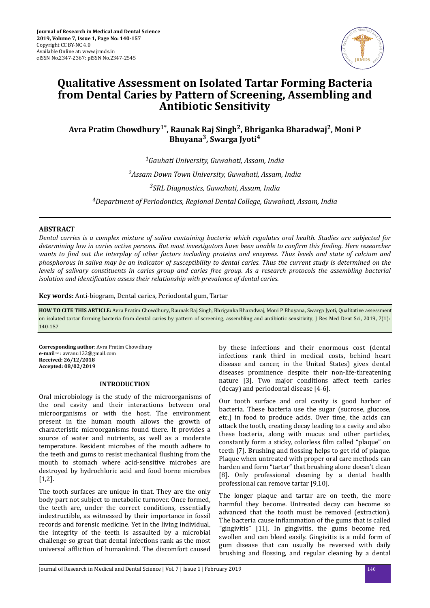

# **Qualitative Assessment on Isolated Tartar Forming Bacteria from Dental Caries by Pattern of Screening, Assembling and Antibiotic Sensitivity**

**Avra Pratim Chowdhury1\*, Raunak Raj Singh<sup>2</sup> , Bhriganka Bharadwaj<sup>2</sup> , Moni P Bhuyana<sup>3</sup> , Swarga Jyoti<sup>4</sup>**

*Gauhati University, Guwahati, Assam, India Assam Down Town University, Guwahati, Assam, India SRL Diagnostics, Guwahati, Assam, India Department of Periodontics, Regional Dental College, Guwahati, Assam, India*

# **ABSTRACT**

*Dental carries is a complex mixture of saliva containing bacteria which regulates oral health. Studies are subjected for determining low in caries active persons. But most investigators have been unable to conϔm this ϔndnǤ Here researcher wants to ϔnd out the interplay of other factors including proteins and enzymes. Thus levels and state of calcium and phosphorous in saliva may be an indicator of susceptibility to dental caries. Thus the current study is determined on the levels of salivary constituents in caries group and caries free group. As a research protocols the assembling bacterial isolation and denϔcon assess their relationship with prevalence of dental caries.*

**Key words:** Anti-biogram, Dental caries, Periodontal gum, Tartar

**HOW TO CITE THIS ARTICLE:** Avra Pratim Chowdhury, Raunak Raj Singh, Bhriganka Bharadwaj, Moni P Bhuyana, Swarga Jyoti, Qualitative assessment on isolated tartar forming bacteria from dental caries by pattern of screening, assembling and antibiotic sensitivity, J Res Med Dent Sci, 2019, 7(1): 140-157

**Corresponding author:** Avra Pratim Chowdhury **e-mail**✉: avranu132@gmail.com **Received: 26/12/2018 Accepted: 08/02/2019**

# **INTRODUCTION**

Oral microbiology is the study of the microorganisms of the oral cavity and their interactions between oral microorganisms or with the host. The environment present in the human mouth allows the growth of characteristic microorganisms found there. It provides a source of water and nutrients, as well as a moderate temperature. Resident microbes of the mouth adhere to the teeth and gums to resist mechanical flushing from the mouth to stomach where acid-sensitive microbes are destroyed by hydrochloric acid and food borne microbes [1,2].

The tooth surfaces are unique in that. They are the only body part not subject to metabolic turnover. Once formed, the teeth are, under the correct conditions, essentially indestructible, as witnessed by their importance in fossil records and forensic medicine. Yet in the living individual, the integrity of the teeth is assaulted by a microbial challenge so great that dental infections rank as the most universal affliction of humankind. The discomfort caused by these infections and their enormous cost (dental infections rank third in medical costs, behind heart disease and cancer, in the United States) gives dental diseases prominence despite their non-life-threatening nature [3]. Two major conditions affect teeth caries (decay) and periodontal disease [4-6].

Our tooth surface and oral cavity is good harbor of bacteria. These bacteria use the sugar (sucrose, glucose, etc.) in food to produce acids. Over time, the acids can attack the tooth, creating decay leading to a cavity and also these bacteria, along with mucus and other particles, constantly form a sticky, colorless film called "plaque" on teeth [7]. Brushing and flossing helps to get rid of plaque. Plaque when untreated with proper oral care methods can harden and form "tartar" that brushing alone doesn't clean [8]. Only professional cleaning by a dental health professional can remove tartar [9,10].

The longer plaque and tartar are on teeth, the more harmful they become. Untreated decay can become so advanced that the tooth must be removed (extraction). The bacteria cause inflammation of the gums that is called "gingivitis" [11]. In gingivitis, the gums become red, swollen and can bleed easily. Gingivitis is a mild form of gum disease that can usually be reversed with daily brushing and flossing, and regular cleaning by a dental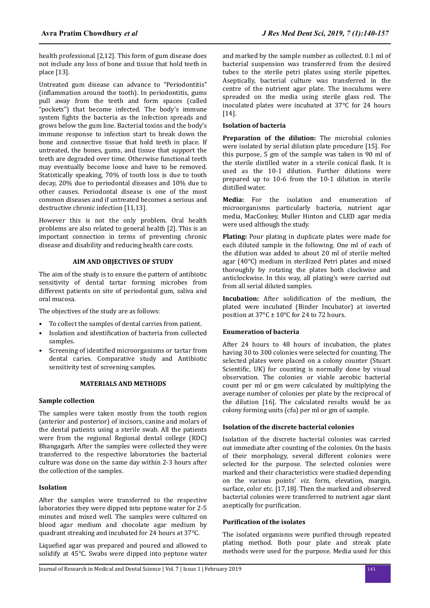health professional [2,12]. This form of gum disease does not include any loss of bone and tissue that hold teeth in place [13].

Untreated gum disease can advance to "Periodontitis" (inflammation around the tooth). In periodontitis, gums pull away from the teeth and form spaces (called "pockets") that become infected. The body's immune system fights the bacteria as the infection spreads and grows below the gum line. Bacterial toxins and the body's immune response to infection start to break down the bone and connective tissue that hold teeth in place. If untreated, the bones, gums, and tissue that support the teeth are degraded over time. Otherwise functional teeth may eventually become loose and have to be removed. Statistically speaking, 70% of tooth loss is due to tooth decay, 20% due to periodontal diseases and 10% due to other causes. Periodontal disease is one of the most common diseases and if untreated becomes a serious and destructive chronic infection [11,13].

However this is not the only problem. Oral health problems are also related to general health [2]. This is an important connection in terms of preventing chronic disease and disability and reducing health care costs.

# **AIM AND OBJECTIVES OF STUDY**

The aim of the study is to ensure the pattern of antibiotic sensitivity of dental tartar forming microbes from different patients on site of periodontal gum, saliva and oral mucosa.

The objectives of the study are as follows:

- To collect the samples of dental carries from patient.
- Isolation and identification of bacteria from collected samples.
- Screening of identified microorganisms or tartar from dental caries. Comparative study and Antibiotic sensitivity test of screening samples.

# **MATERIALS AND METHODS**

# **Sample collection**

The samples were taken mostly from the tooth region (anterior and posterior) of incisors, canine and molars of the dental patients using a sterile swab. All the patients were from the regional Regional dental college (RDC) Bhangagarh. After the samples were collected they were transferred to the respective laboratories the bacterial culture was done on the same day within 2-3 hours after the collection of the samples.

# **Isolation**

After the samples were transferred to the respective laboratories they were dipped into peptone water for 2-5 minutes and mixed well. The samples were cultured on blood agar medium and chocolate agar medium by quadrant streaking and incubated for 24 hours at 37°C.

Liquefied agar was prepared and poured and allowed to solidify at 45°C. Swabs were dipped into peptone water and marked by the sample number as collected. 0.1 ml of bacterial suspension was transferred from the desired tubes to the sterile petri plates using sterile pipettes. Aseptically, bacterial culture was transferred in the centre of the nutrient agar plate. The inoculums were spreaded on the media using sterile glass rod. The inoculated plates were incubated at 37°C for 24 hours [14].

## **Isolation of bacteria**

**Preparation of the dilution:** The microbial colonies were isolated by serial dilution plate procedure [15]. For this purpose, 5 gm of the sample was taken in 90 ml of the sterile distilled water in a sterile conical flask. It is used as the 10-1 dilution. Further dilutions were prepared up to 10-6 from the 10-1 dilution in sterile distilled water.

**Media:** For the isolation and enumeration of microorganisms particularly bacteria, nutrient agar media, MacConkey, Muller Hinton and CLED agar media were used although the study.

**Plating:** Pour plating in duplicate plates were made for each diluted sample in the following. One ml of each of the dilution was added to about 20 ml of sterile melted agar (40°C) medium in sterilized Petri plates and mixed thoroughly by rotating the plates both clockwise and anticlockwise. In this way, all plating's were carried out from all serial diluted samples.

**Incubation:** After solidification of the medium, the plated were incubated (Binder Incubator) at inverted position at  $37^{\circ}$ C ±  $10^{\circ}$ C for 24 to 72 hours.

# **Enumeration of bacteria**

After 24 hours to 48 hours of incubation, the plates having 30 to 300 colonies were selected for counting. The selected plates were placed on a colony counter (Stuart Scientific. UK) for counting is normally done by visual observation. The colonies or viable aerobic bacterial count per ml or gm were calculated by multiplying the average number of colonies per plate by the reciprocal of the dilution [16]. The calculated results would be as colony forming units (cfu) per ml or gm of sample.

## **Isolation of the discrete bacterial colonies**

Isolation of the discrete bacterial colonies was carried out immediate after counting of the colonies. On the basis of their morphology, several different colonies were selected for the purpose. The selected colonies were marked and their characteristics were studied depending on the various points' *viz.* form, elevation, margin, surface, color etc. [17,18]. Then the marked and observed bacterial colonies were transferred to nutrient agar slant aseptically for purification.

#### **Purification of the isolates**

The isolated organisms were purified through repeated plating method. Both pour plate and streak plate methods were used for the purpose. Media used for this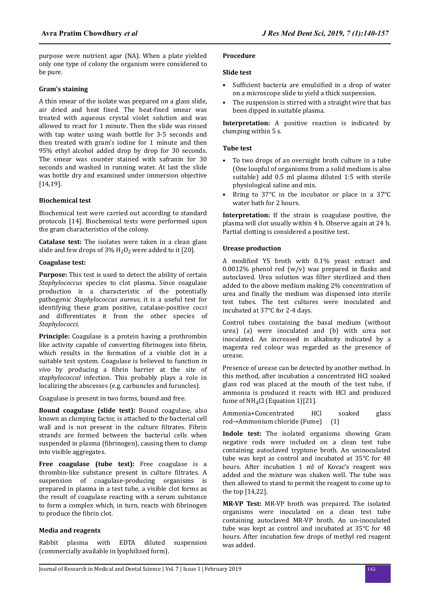purpose were nutrient agar (NA). When a plate yielded only one type of colony the organism were considered to be pure.

# **Gram's staining**

A thin smear of the isolate was prepared on a glass slide, air dried and heat fixed. The heat-fixed smear was treated with aqueous crystal violet solution and was allowed to react for 1 minute. Then the slide was rinsed with tap water using wash bottle for 3-5 seconds and then treated with gram's iodine for 1 minute and then 95% ethyl alcohol added drop by drop for 30 seconds. The smear was counter stained with safranin for 30 seconds and washed in running water. At last the slide was bottle dry and examined under immersion objective [14,19].

## **Biochemical test**

Biochemical test were carried out according to standard protocols [14]. Biochemical tests were performed upon the gram characteristics of the colony.

**Catalase test:** The isolates were taken in a clean glass slide and few drops of  $3\%$  H<sub>2</sub>O<sub>2</sub> were added to it [20].

#### **Coagulase test:**

**Purpose:** This test is used to detect the ability of certain *Staphylococcus* species to clot plasma. Since coagulase production is a characteristic of the potentially pathogenic *Staphylococcus aureus*, it is a useful test for identifying these gram positive, catalase-positive *cocci* and differentiates it from the other species of *Staphylococci*.

**Principle:** Coagulase is a protein having a prothrombin like activity capable of converting fibrinogen into fibrin. which results in the formation of a visible clot in a suitable test system. Coagulase is believed to function *in vivo* by producing a fibrin barrier at the site of *staphylococcal* infection. This probably plays a role in localizing the abscesses (e.g. carbuncles and furuncles).

Coagulase is present in two forms, bound and free.

**Bound coagulase (slide test):** Bound coagulase, also known as clumping factor, is attached to the bacterial cell wall and is not present in the culture filtrates. Fibrin strands are formed between the bacterial cells when suspended in plasma (fibrinogen), causing them to clump into visible aggregates.

**Free coagulase (tube test):** Free coagulase is a thrombin-like substance present in culture filtrates. A suspension of coagulase-producing organisms is prepared in plasma in a test tube, a visible clot forms as the result of coagulase reacting with a serum substance to form a complex which, in turn, reacts with fibrinogen to produce the fibrin clot.

### **Media and reagents**

Rabbit plasma with EDTA diluted suspension (commercially available in lyophilized form).

#### **Procedure**

## **Slide test**

- Sufficient bacteria are emulsified in a drop of water on a microscope slide to yield a thick suspension.
- The suspension is stirred with a straight wire that has been dipped in suitable plasma.

**Interpretation:** A positive reaction is indicated by clumping within 5 s.

# **Tube test**

- To two drops of an overnight broth culture in a tube (One loopful of organisms from a solid medium is also suitable) add 0.5 ml plasma diluted 1:5 with sterile physiological saline and mix.
- Bring to 37°C in the incubator or place in a 37°C water bath for 2 hours.

**Interpretation:** If the strain is coagulase positive, the plasma will clot usually within 4 h. Observe again at 24 h. Partial clotting is considered a positive test.

# **Urease production**

A modified YS broth with 0.1% yeast extract and 0.0012% phenol red  $(w/v)$  was prepared in flasks and autoclaved. Urea solution was filter sterilized and then added to the above medium making 2% concentration of urea and finally the medium was dispensed into sterile test tubes. The test cultures were inoculated and incubated at 37°C for 2-4 days.

Control tubes containing the basal medium (without urea) (a) were inoculated and (b) with urea not inoculated. An increased in alkalinity indicated by a magenta red colour was regarded as the presence of urease.

Presence of urease can be detected by another method. In this method, after incubation a concentrated HCl soaked glass rod was placed at the mouth of the test tube, if ammonia is produced it reacts with HCl and produced fume of NH4Cl (Equation 1)[21].

Ammonia+Concentrated HCl soaked glass rod→Ammonium chloride (Fume) (1)

**Indole test:** The isolated organisms showing Gram negative rods were included on a clean test tube containing autoclaved tryptone broth. An uninoculated tube was kept as control and incubated at 35°C for 48 hours. After incubation 1 ml of Kovac's reagent was added and the mixture was shaken well. The tube was then allowed to stand to permit the reagent to come up to the top [14,22].

**MR-VP Test:** MR-VP broth was prepared. The isolated organisms were inoculated on a clean test tube containing autoclaved MR-VP broth. An un-inoculated tube was kept as control and incubated at 35°C for 48 hours. After incubation few drops of methyl red reagent was added.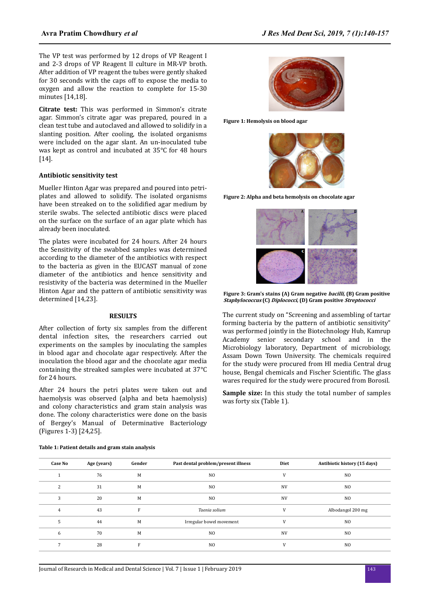The VP test was performed by 12 drops of VP Reagent I and 2-3 drops of VP Reagent II culture in MR-VP broth. After addition of VP reagent the tubes were gently shaked for 30 seconds with the caps off to expose the media to oxygen and allow the reaction to complete for 15-30 minutes [14,18].

**Citrate test:** This was performed in Simmon's citrate agar. Simmon's citrate agar was prepared, poured in a clean test tube and autoclaved and allowed to solidify in a slanting position. After cooling, the isolated organisms were included on the agar slant. An un-inoculated tube was kept as control and incubated at 35°C for 48 hours [14].

#### **Antibiotic sensitivity test**

Mueller Hinton Agar was prepared and poured into petriplates and allowed to solidify. The isolated organisms have been streaked on to the solidified agar medium by sterile swabs. The selected antibiotic discs were placed on the surface on the surface of an agar plate which has already been inoculated.

The plates were incubated for 24 hours. After 24 hours the Sensitivity of the swabbed samples was determined according to the diameter of the antibiotics with respect to the bacteria as given in the EUCAST manual of zone diameter of the antibiotics and hence sensitivity and resistivity of the bacteria was determined in the Mueller Hinton Agar and the pattern of antibiotic sensitivity was determined [14,23].

#### **RESULTS**

After collection of forty six samples from the different dental infection sites, the researchers carried out experiments on the samples by inoculating the samples in blood agar and chocolate agar respectively. After the inoculation the blood agar and the chocolate agar media containing the streaked samples were incubated at 37°C for 24 hours.

After 24 hours the petri plates were taken out and haemolysis was observed (alpha and beta haemolysis) and colony characteristics and gram stain analysis was done. The colony characteristics were done on the basis of Bergey's Manual of Determinative Bacteriology (Figures 1-3) [24,25].

|  | Table 1: Patient details and gram stain analysis |  |  |
|--|--------------------------------------------------|--|--|
|--|--------------------------------------------------|--|--|



**Figure 1: Hemolysis on blood agar**



**Figure 2: Alpha and beta hemolysis on chocolate agar**



**Figure 3: Gram's stains (A) Gram negative bacilli, (B) Gram positive Staphylococcus (C) Diplococci, (D) Gram positive Streptococci**

The current study on "Screening and assembling of tartar forming bacteria by the pattern of antibiotic sensitivity" was performed jointly in the Biotechnology Hub, Kamrup Academy senior secondary school and in the Microbiology laboratory, Department of microbiology, Assam Down Town University. The chemicals required for the study were procured from HI media Central drug house, Bengal chemicals and Fischer Scientific. The glass wares required for the study were procured from Borosil.

**Sample size:** In this study the total number of samples was forty six (Table 1).

| <b>Case No</b> | Age (years) | Gender | Past dental problem/present illness | Diet      | Antibiotic history (15 days) |
|----------------|-------------|--------|-------------------------------------|-----------|------------------------------|
|                | 76          | M      | N <sub>O</sub>                      | V         | N <sub>O</sub>               |
| 2              | 31          | M      | N <sub>0</sub>                      | <b>NV</b> | N <sub>O</sub>               |
| 3              | 20          | M      | N <sub>O</sub>                      | <b>NV</b> | N <sub>O</sub>               |
| 4              | 43          | F      | Taenia solium                       | V         | Albodangol 200 mg            |
| 5              | 44          | M      | Irregular bowel movement            | V         | N <sub>0</sub>               |
| 6              | 70          | M      | N <sub>0</sub>                      | <b>NV</b> | N <sub>0</sub>               |
|                | 28          | E      | N <sub>O</sub>                      | V         | N <sub>O</sub>               |
|                |             |        |                                     |           |                              |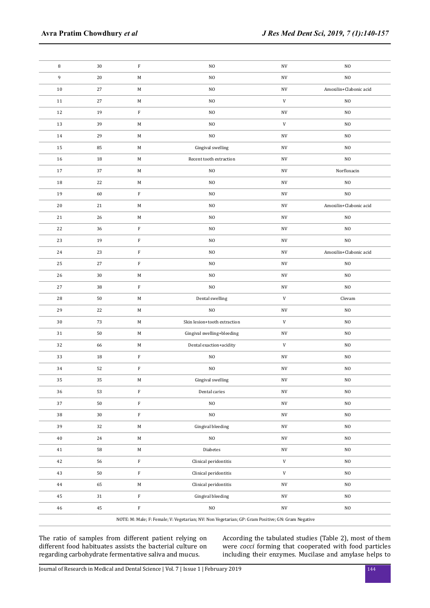| 8      | 30     | $\rm F$     | N <sub>O</sub>                                                                                    | NV                       | N <sub>O</sub>         |
|--------|--------|-------------|---------------------------------------------------------------------------------------------------|--------------------------|------------------------|
| 9      | 20     | M           | NO                                                                                                | NV                       | NO                     |
| $10\,$ | 27     | $\mathbf M$ | $_{\rm NO}$                                                                                       | $\ensuremath{\text{NV}}$ | Amoxilin+Clabonic acid |
| 11     | 27     | $\mathbf M$ | NO                                                                                                | ${\tt V}$                | $_{\rm NO}$            |
| 12     | 19     | $\rm F$     | $_{\rm NO}$                                                                                       | NV                       | NO                     |
| 13     | 39     | $\mathbf M$ | NO                                                                                                | ${\tt V}$                | N <sub>0</sub>         |
| 14     | 29     | $\mathbf M$ | NO                                                                                                | $\ensuremath{\text{NV}}$ | $_{\rm NO}$            |
| 15     | 85     | $\mathbf M$ | Gingival swelling                                                                                 | NV                       | $_{\rm NO}$            |
| 16     | 18     | $\mathbf M$ | Recent tooth extraction                                                                           | NV                       | $_{\rm NO}$            |
| 17     | 37     | M           | NO.                                                                                               | NV                       | Norfloxacin            |
| 18     | 22     | $\mathbf M$ | NO.                                                                                               | $\ensuremath{\text{NV}}$ | $_{\rm NO}$            |
| $19\,$ | 60     | $\mathbf F$ | NO                                                                                                | NV                       | $_{\rm NO}$            |
| 20     | 21     | $\mathbf M$ | N <sub>O</sub>                                                                                    | NV                       | Amoxilin+Clabonic acid |
| 21     | 26     | M           | NO                                                                                                | NV                       | N <sub>O</sub>         |
| 22     | 36     | $\mathbf F$ | NO.                                                                                               | $\ensuremath{\text{NV}}$ | $_{\rm NO}$            |
| 23     | 19     | $\mathbf F$ | $_{\rm NO}$                                                                                       | $\ensuremath{\text{NV}}$ | $_{\rm NO}$            |
| 24     | 23     | $\mathbf F$ | NO.                                                                                               | NV                       | Amoxilin+Clabonic acid |
| 25     | 27     | $\mathbf F$ | NO.                                                                                               | NV                       | $_{\rm NO}$            |
| 26     | 30     | $\mathbf M$ | N <sub>O</sub>                                                                                    | $\ensuremath{\text{NV}}$ | $_{\rm NO}$            |
| 27     | 38     | $\mathbf F$ | N <sub>O</sub>                                                                                    |                          | $_{\rm NO}$            |
| 28     | 50     | $\mathbf M$ | Dental swelling                                                                                   | $\mathbf V$              | Clevam                 |
| 29     | 22     | $\mathbf M$ | N <sub>O</sub>                                                                                    | $\ensuremath{\text{NV}}$ | $_{\rm NO}$            |
| 30     | 73     | $\mathbf M$ | Skin lesion+tooth extraction                                                                      | $\mathbf V$              | $_{\rm NO}$            |
| 31     | 50     | $\mathbf M$ | Gingival swelling+bleeding                                                                        | NV                       | $_{\rm NO}$            |
| 32     | 66     | $\mathbf M$ | Dental exaction+acidity                                                                           | ${\tt V}$                | N <sub>0</sub>         |
| 33     | 18     | $\mathbf F$ | NO.                                                                                               | $\ensuremath{\text{NV}}$ | $_{\rm NO}$            |
| 34     | 52     | $\rm F$     | N <sub>O</sub>                                                                                    | NV                       | $_{\rm NO}$            |
| 35     | 35     | M           | Gingival swelling                                                                                 | $\ensuremath{\text{NV}}$ | N <sub>O</sub>         |
| 36     | 53     | $\mathbf F$ | Dental caries                                                                                     | NV                       | $_{\rm NO}$            |
| $37\,$ | $50\,$ | $\rm F$     | $_{\rm NO}$                                                                                       | $\ensuremath{\text{NV}}$ | $_{\rm NO}$            |
| $38\,$ | $30\,$ | $\mathbf F$ | NO.                                                                                               | $\ensuremath{\text{NV}}$ | $_{\rm NO}$            |
| 39     | 32     | $\mathbf M$ | Gingival bleeding                                                                                 | $\ensuremath{\text{NV}}$ | $_{\rm NO}$            |
| 40     | 24     | $\mathbf M$ | $_{\rm NO}$                                                                                       | NV                       | $_{\rm NO}$            |
| 41     | 58     | $\mathbf M$ | Diabetes                                                                                          | NV                       | $_{\rm NO}$            |
| 42     | 56     | $\mathbf F$ | Clinical peridontitis                                                                             | ${\tt V}$                | $_{\rm NO}$            |
| 43     | $50\,$ | $\mathbf F$ | Clinical peridontitis                                                                             | $\mathbf V$              | $_{\rm NO}$            |
| 44     | 65     | $\mathbf M$ | Clinical peridontitis                                                                             | NV                       | $_{\rm NO}$            |
| 45     | 31     | $\mathbf F$ | Gingival bleeding                                                                                 | NV                       | $_{\rm NO}$            |
| 46     | $45\,$ | $\mathbf F$ | NO                                                                                                | $\ensuremath{\text{NV}}$ | $_{\rm NO}$            |
|        |        |             | NOTE: M: Male; F: Female; V: Vegetarian; NV: Non Vegetarian; GP: Gram Positive; GN: Gram Negative |                          |                        |

The ratio of samples from different patient relying on different food habituates assists the bacterial culture on regarding carbohydrate fermentative saliva and mucus.

According the tabulated studies (Table 2), most of them were *cocci* forming that cooperated with food particles including their enzymes. Mucilase and amylase helps to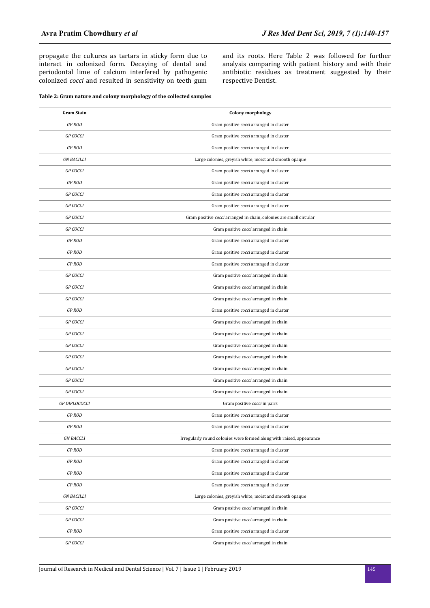propagate the cultures as tartars in sticky form due to interact in colonized form. Decaying of dental and periodontal lime of calcium interfered by pathogenic colonized *cocci* and resulted in sensitivity on teeth gum

and its roots. Here Table 2 was followed for further analysis comparing with patient history and with their antibiotic residues as treatment suggested by their respective Dentist.

#### **Table 2: Gram nature and colony morphology of the collected samples**

| <b>Gram Stain</b>    | <b>Colony morphology</b>                                             |
|----------------------|----------------------------------------------------------------------|
| <b>GP ROD</b>        | Gram positive cocci arranged in cluster                              |
| <b>GP COCCI</b>      | Gram positive cocci arranged in cluster                              |
| <b>GP ROD</b>        | Gram positive cocci arranged in cluster                              |
| <b>GN BACILLI</b>    | Large colonies, greyish white, moist and smooth opaque               |
| <b>GP COCCI</b>      | Gram positive cocci arranged in cluster                              |
| <b>GP ROD</b>        | Gram positive cocci arranged in cluster                              |
| <b>GP COCCI</b>      | Gram positive cocci arranged in cluster                              |
| <b>GP COCCI</b>      | Gram positive cocci arranged in cluster                              |
| <b>GP COCCI</b>      | Gram positive cocci arranged in chain, colonies are small circular   |
| <b>GP COCCI</b>      | Gram positive cocci arranged in chain                                |
| <b>GP ROD</b>        | Gram positive cocci arranged in cluster                              |
| <b>GP ROD</b>        | Gram positive cocci arranged in cluster                              |
| <b>GP ROD</b>        | Gram positive cocci arranged in cluster                              |
| <b>GP COCCI</b>      | Gram positive cocci arranged in chain                                |
| <b>GP COCCI</b>      | Gram positive cocci arranged in chain                                |
| <b>GP COCCI</b>      | Gram positive cocci arranged in chain                                |
| <b>GP ROD</b>        | Gram positive cocci arranged in cluster                              |
| <b>GP COCCI</b>      | Gram positive cocci arranged in chain                                |
| <b>GP COCCI</b>      | Gram positive cocci arranged in chain                                |
| <b>GP COCCI</b>      | Gram positive cocci arranged in chain                                |
| <b>GP COCCI</b>      | Gram positive cocci arranged in chain                                |
| <b>GP COCCI</b>      | Gram positive cocci arranged in chain                                |
| <b>GP COCCI</b>      | Gram positive cocci arranged in chain                                |
| <b>GP COCCI</b>      | Gram positive cocci arranged in chain                                |
| <b>GP DIPLOCOCCI</b> | Gram positive cocci in pairs                                         |
| <b>GP ROD</b>        | Gram positive cocci arranged in cluster                              |
| <b>GP ROD</b>        | Gram positive cocci arranged in cluster                              |
| <b>GN BACCLI</b>     | Irregularly round colonies were formed along with raised, appearance |
| GP ROD               | Gram positive cocci arranged in cluster                              |
| GP ROD               | Gram positive cocci arranged in cluster                              |
| <b>GP ROD</b>        | Gram positive cocci arranged in cluster                              |
| <b>GP ROD</b>        | Gram positive cocci arranged in cluster                              |
| <b>GN BACILLI</b>    | Large colonies, greyish white, moist and smooth opaque               |
| <b>GP COCCI</b>      | Gram positive cocci arranged in chain                                |
| <b>GP COCCI</b>      | Gram positive cocci arranged in chain                                |
| <b>GP ROD</b>        | Gram positive cocci arranged in cluster                              |
| <b>GP COCCI</b>      | Gram positive cocci arranged in chain                                |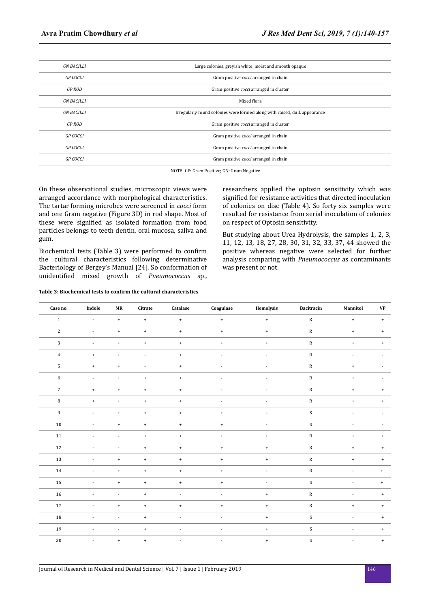| <b>GN BACILLI</b> | Large colonies, greyish white, moist and smooth opaque                     |
|-------------------|----------------------------------------------------------------------------|
| <b>GP COCCI</b>   | Gram positive <i>cocci</i> arranged in chain                               |
| <b>GP ROD</b>     | Gram positive cocci arranged in cluster                                    |
| <b>GN BACILLI</b> | Mixed flora                                                                |
| <b>GN BACILLI</b> | Irregularly round colonies were formed along with raised, dull, appearance |
| <b>GP ROD</b>     | Gram positive cocci arranged in cluster                                    |
| <b>GP COCCI</b>   | Gram positive cocci arranged in chain                                      |
| <b>GP COCCI</b>   | Gram positive cocci arranged in chain                                      |
| <b>GP COCCI</b>   | Gram positive cocci arranged in chain                                      |
|                   | NOTE: GP: Gram Positive; GN: Gram Negative                                 |

On these observational studies, microscopic views were arranged accordance with morphological characteristics. The tartar forming microbes were screened in *cocci* form and one Gram negative (Figure 3D) in rod shape. Most of these were signified as isolated formation from food particles belongs to teeth dentin, oral mucosa, saliva and gum.

Biochemical tests (Table 3) were performed to confirm the cultural characteristics following determinative Bacteriology of Bergey's Manual [24]. So conformation of unidentified mixed growth of *Pneumococcus* sp.,

#### **Table 3: Biochemical tests to confirm the cultural characteristics**

researchers applied the optosin sensitivity which was signified for resistance activities that directed inoculation of colonies on disc (Table 4). So forty six samples were resulted for resistance from serial inoculation of colonies on respect of Optosin sensitivity.

But studying about Urea Hydrolysis, the samples 1, 2, 3, 11, 12, 13, 18, 27, 28, 30, 31, 32, 33, 37, 44 showed the positive whereas negative were selected for further analysis comparing with *Pneumococcus* as contaminants was present or not.

| Case no.       | Indole                           | $\ensuremath{\mathbf{MR}}\xspace$ | Citrate                  | Catalase                 | Coagulase      | Hemolysis                        | Bacitracin                | Mannitol                         | $\mathbf{V}\mathbf{P}$ |
|----------------|----------------------------------|-----------------------------------|--------------------------|--------------------------|----------------|----------------------------------|---------------------------|----------------------------------|------------------------|
| $\,1\,$        | $\mathcal{L}$                    | $+$                               | $\pm$                    | $\pm$                    | $\pm$          | $^\mathrm{+}$                    | ${\bf R}$                 | $^{+}$                           | $+$                    |
| $\sqrt{2}$     | $\overline{\phantom{a}}$         | $\ddag$                           | $\pm$                    | $\pm$                    | $+$            | $\begin{array}{c} + \end{array}$ | ${\bf R}$                 | $\begin{array}{c} + \end{array}$ | $+$                    |
| $\sqrt{3}$     | $\blacksquare$                   | $\ddag$                           | $\ddot{}$                | $\pm$                    | $+$            | $\begin{array}{c} + \end{array}$ | ${\bf R}$                 | $\begin{array}{c} + \end{array}$ | $+$                    |
| $\overline{4}$ | $\pm$                            | $\,$ + $\,$                       | $\overline{\phantom{a}}$ | $\pm$                    | $\overline{a}$ | $\blacksquare$                   | ${\bf R}$                 | $\overline{\phantom{a}}$         |                        |
| $\sqrt{5}$     | $\begin{array}{c} + \end{array}$ | $\ddag$                           | $\overline{\phantom{a}}$ | $\pm$                    | $\overline{a}$ | ÷,                               | ${\bf R}$                 | $\begin{array}{c} + \end{array}$ |                        |
| $\sqrt{6}$     | ٠                                | $+$                               | $\pm$                    | $\pm$                    |                |                                  | ${\bf R}$                 | $\begin{array}{c} + \end{array}$ |                        |
| $\overline{7}$ | $+$                              | $\ddot{}$                         | $\ddot{}$                | $\pm$                    | ٠              | ٠                                | ${\bf R}$                 | $\ddot{}$                        | $+$                    |
| $\, 8$         | $\pm$                            | $+$                               | $\pm$                    | $\pm$                    | $\overline{a}$ | $\overline{a}$                   | ${\bf R}$                 | $\begin{array}{c} + \end{array}$ | $+$                    |
| $\overline{9}$ | $\blacksquare$                   | $\ddot{}$                         | $\pm$                    | $+$                      | $+$            | ÷,                               | $\mathbf S$               | $\overline{a}$                   |                        |
| 10             | $\overline{a}$                   | $\,$ + $\,$                       | $\pm$                    | $\pm$                    | $+$            | ÷,                               | S                         | $\overline{a}$                   |                        |
| $11\,$         |                                  | $\overline{a}$                    | $\ddot{}$                | $\pm$                    | $+$            | $\ddot{}$                        | ${\bf R}$                 | $\begin{array}{c} + \end{array}$ | $+$                    |
| 12             | $\overline{\phantom{a}}$         | $\overline{\phantom{a}}$          | $\ddot{}$                | $\pm$                    | $\pm$          | $\begin{array}{c} + \end{array}$ | ${\bf R}$                 | $\begin{array}{c} + \end{array}$ | $+$                    |
| $13\,$         | $\overline{\phantom{a}}$         | $\ddag$                           | $\,$ + $\,$              | $\pm$                    | $\pm$          | $^+$                             | ${\bf R}$                 | $^{\mathrm{+}}$                  | $+$                    |
| 14             | $\overline{\phantom{a}}$         | $\ddag$                           | $\pm$                    | $\pm$                    | $+$            | $\overline{\phantom{a}}$         | ${\bf R}$                 | $\overline{\phantom{a}}$         | $\ddot{}$              |
| 15             | $\overline{\phantom{a}}$         | $+$                               | $+$                      | $+$                      | $+$            | $\overline{a}$                   | $\boldsymbol{\mathsf{S}}$ |                                  | $\ddot{}$              |
| 16             | $\overline{a}$                   | $\overline{\phantom{a}}$          | $\ddot{}$                | $\overline{\phantom{a}}$ | ٠              | $\begin{array}{c} + \end{array}$ | ${\bf R}$                 | ÷,                               | $\ddot{}$              |
| $17\,$         | $\blacksquare$                   | $\ddag$                           | $\pm$                    | $\pm$                    | $+$            | $^{\mathrm{+}}$                  | ${\bf R}$                 | $\begin{array}{c} + \end{array}$ | $+$                    |
| 18             | ٠                                | $\blacksquare$                    | $+$                      | $\blacksquare$           | $\sim$         | $\begin{array}{c} + \end{array}$ | $\mathbf S$               | $\overline{a}$                   | $\ddot{}$              |
| 19             | $\blacksquare$                   | $\blacksquare$                    | $\pm$                    | $\blacksquare$           | $\blacksquare$ | $^{\mathrm{+}}$                  | $\boldsymbol{\mathsf{S}}$ | $\overline{a}$                   | $+$                    |
| 20             |                                  | $\,$ + $\,$                       | $\pm$                    | $\overline{\phantom{a}}$ | ÷,             | $\begin{array}{c} + \end{array}$ | $\mathbf S$               | $\overline{\phantom{a}}$         | $+$                    |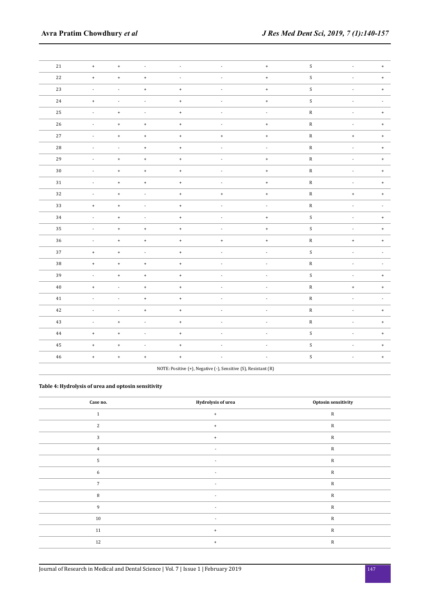| $21\,$      | $\begin{array}{c} + \end{array}$ | $\pm$                    | $\overline{\phantom{a}}$ | $\overline{\phantom{a}}$ |                                                                | $^{\mathrm{+}}$          | $\boldsymbol{S}$ | ÷,                       | $\ddot{}$                        |
|-------------|----------------------------------|--------------------------|--------------------------|--------------------------|----------------------------------------------------------------|--------------------------|------------------|--------------------------|----------------------------------|
| 22          | $^+$                             | $\ddot{}$                | $^{\mathrm{+}}$          | $\overline{\phantom{a}}$ |                                                                | $^{\mathrm{+}}$          | $\boldsymbol{S}$ |                          | $^{\mathrm{+}}$                  |
| $23\,$      | $\overline{a}$                   | $\overline{\phantom{a}}$ | $\pm$                    | $\,$ +                   |                                                                | $^{\mathrm{+}}$          | ${\sf S}$        |                          | $\ddot{}$                        |
| 24          | $\bf{+}$                         | $\overline{\phantom{a}}$ | $\overline{a}$           | $\,$ + $\,$              | $\overline{a}$                                                 | $^{\mathrm{+}}$          | ${\mathsf S}$    | $\overline{a}$           |                                  |
| $25\,$      | $\blacksquare$                   | $\,$ +                   | $\blacksquare$           | $\,$ +                   | $\overline{a}$                                                 | $\overline{\phantom{a}}$ | ${\bf R}$        | ÷,                       | $\begin{array}{c} + \end{array}$ |
| $26\,$      |                                  | $^{\mathrm{+}}$          | $^{\mathrm{+}}$          | $\,$ + $\,$              |                                                                | $^{\mathrm{+}}$          | ${\bf R}$        |                          | $\ddot{}$                        |
| $27\,$      | $\overline{a}$                   | $\pm$                    | $^{\mathrm{+}}$          | $\bf{+}$                 | $\ddag$                                                        | $^{\mathrm{+}}$          | ${\bf R}$        | $\pm$                    | $\begin{array}{c} + \end{array}$ |
| 28          | $\sim$                           | $\overline{\phantom{a}}$ | $\,$ + $\,$              | $\ddag$                  | $\overline{a}$                                                 | $\overline{a}$           | ${\bf R}$        | Ĩ.                       | $^{\mathrm{+}}$                  |
| 29          |                                  | $^{\mathrm{+}}$          | $^{\mathrm{+}}$          | $\ddag$                  |                                                                | $^\mathrm{+}$            | ${\bf R}$        |                          | $\bf{+}$                         |
| $30\,$      | $\blacksquare$                   | $\ddot{}$                | $\pm$                    | $^{\mathrm{+}}$          | $\overline{a}$                                                 | $^{\mathrm{+}}$          | ${\bf R}$        | $\overline{\phantom{a}}$ | $\ddot{}$                        |
| $3\sqrt{1}$ |                                  | $^{\mathrm{+}}$          | $^{\mathrm{+}}$          | $\bf{+}$                 |                                                                | $^{\mathrm{+}}$          | ${\bf R}$        |                          | $\begin{array}{c} + \end{array}$ |
| $32\,$      | $\overline{a}$                   | $^{\mathrm{+}}$          | $\overline{a}$           | $\,$ +                   | $\pm$                                                          | $^{\mathrm{+}}$          | ${\bf R}$        | $\bf{+}$                 | $\bf{+}$                         |
| $33\,$      | $\pm$                            | $\ddag$                  | ÷,                       | $\bf{+}$                 | ÷,                                                             | ÷,                       | ${\bf R}$        | Ĭ.                       |                                  |
| $34\,$      | $\overline{\phantom{a}}$         | $^{\mathrm{+}}$          | $\overline{\phantom{a}}$ | $^{\mathrm{+}}$          |                                                                | $^{\mathrm{+}}$          | ${\mathsf S}$    | $\overline{\phantom{a}}$ | $\begin{array}{c} + \end{array}$ |
| $35\,$      | $\sim$                           | $\pm$                    | $\pm$                    | $\ddot{}$                | $\overline{a}$                                                 | $^{\mathrm{+}}$          | $\boldsymbol{S}$ | ÷,                       | $\bf{+}$                         |
| $36\,$      |                                  | $^{\mathrm{+}}$          | $^{\mathrm{+}}$          | $\ddag$                  | $^{\mathrm{+}}$                                                | $^{\mathrm{+}}$          | ${\bf R}$        | $^{\mathrm{+}}$          | $^{\mathrm{+}}$                  |
| 37          | $^+$                             | $^{\mathrm{+}}$          | $\blacksquare$           | $^{\mathrm{+}}$          | $\overline{\phantom{a}}$                                       | $\overline{\phantom{a}}$ | $\boldsymbol{S}$ | ÷,                       |                                  |
| $38\,$      | $\ddag$                          | $\ddot{}$                | $\ddag$                  | $\bf{+}$                 | $\overline{a}$                                                 | $\overline{\phantom{a}}$ | ${\bf R}$        | $\overline{a}$           |                                  |
| 39          | $\blacksquare$                   | $^{\mathrm{+}}$          | $\,$ +                   | $^{\mathrm{+}}$          |                                                                | $\overline{a}$           | $\boldsymbol{S}$ | $\overline{a}$           | $\begin{array}{c} + \end{array}$ |
| $40\,$      | $\pm$                            | $\overline{a}$           | $\pm$                    | $\bf{+}$                 | $\overline{a}$                                                 | $\overline{a}$           | ${\bf R}$        | $\pmb{+}$                | $^{\mathrm{+}}$                  |
| $41\,$      |                                  | ÷,                       | $\bf{+}$                 | $\pm$                    |                                                                | ÷,                       | ${\bf R}$        |                          |                                  |
| $42\,$      | $\overline{a}$                   | $\overline{a}$           | $\ddag$                  | $\bf{+}$                 | $\frac{1}{2}$                                                  | $\overline{a}$           | ${\bf R}$        | $\overline{a}$           | $\ddot{}$                        |
| $43\,$      | $\blacksquare$                   | $\ddot{}$                | $\Box$                   | $\,$ + $\,$              | $\overline{\phantom{a}}$                                       | $\overline{\phantom{a}}$ | ${\bf R}$        | ÷,                       | $\begin{array}{c} + \end{array}$ |
| $\bf 44$    | $\pm$                            | $\ddag$                  | $\blacksquare$           | $\pmb{+}$                |                                                                | ÷,                       | $\boldsymbol{S}$ |                          | $\bf{+}$                         |
| $\bf 45$    | $\pm$                            | $\ddag$                  | Ĭ.                       | $^{\mathrm{+}}$          | $\overline{a}$                                                 | Ĭ.                       | $\boldsymbol{S}$ |                          | $\begin{array}{c} + \end{array}$ |
| $\bf 46$    | $^\mathrm{+}$                    | $\pm$                    | $^{\mathrm{+}}$          | $\pmb{+}$                | $\overline{a}$                                                 |                          | ${\mathsf S}$    | $\overline{\phantom{a}}$ | $\pm$                            |
|             |                                  |                          |                          |                          | NOTE: Positive (+), Negative (-), Sensitive (S), Resistant (R) |                          |                  |                          |                                  |

# **Table 4: Hydrolysis of urea and optosin sensitivity**

| Case no.       | Hydrolysis of urea               | Optosin sensitivity |
|----------------|----------------------------------|---------------------|
| $\mathbf{1}$   | $\ddot{}$                        | ${\mathbb R}$       |
| 2              | $\begin{array}{c} + \end{array}$ | ${\mathbb R}$       |
| 3              | $\ddot{}$                        | ${\mathbb R}$       |
| $\overline{4}$ | $\overline{\phantom{a}}$         | ${\mathbb R}$       |
| 5              | $\overline{\phantom{a}}$         | ${\mathbb R}$       |
| 6              | $\overline{\phantom{a}}$         | ${\mathbb R}$       |
| $\overline{7}$ |                                  | ${\mathbb R}$       |
| 8              | $\overline{\phantom{a}}$         | ${\mathbb R}$       |
| 9              | $\overline{\phantom{a}}$         | ${\bf R}$           |
| $10\,$         | $\overline{\phantom{a}}$         | ${\mathbb R}$       |
| $11\,$         | $\ddot{}$                        | ${\mathbb R}$       |
| 12             | $\begin{array}{c} + \end{array}$ | ${\mathbb R}$       |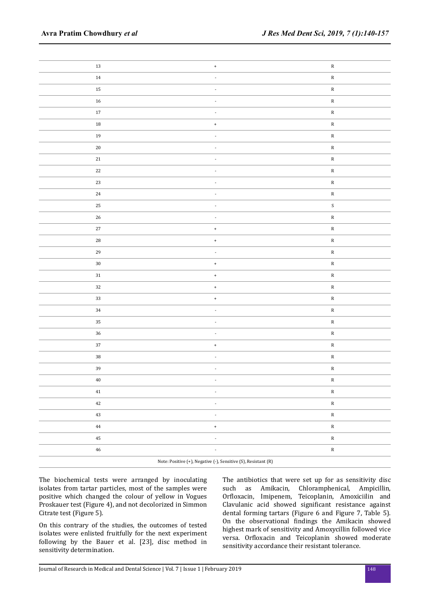| $13\,$      | $^{\mathrm{+}}$                                                | ${\bf R}$     |
|-------------|----------------------------------------------------------------|---------------|
| $14\,$      | $\overline{\phantom{a}}$                                       | ${\bf R}$     |
| $15\,$      | $\overline{\phantom{a}}$                                       | ${\bf R}$     |
| $16\,$      | $\overline{\phantom{a}}$                                       | ${\bf R}$     |
| $17\,$      | $\overline{\phantom{a}}$                                       | ${\bf R}$     |
| $18\,$      | $^{\mathrm{+}}$                                                | ${\bf R}$     |
| $19\,$      | $\overline{\phantom{a}}$                                       | ${\bf R}$     |
| $20\,$      | $\blacksquare$                                                 | ${\bf R}$     |
| $2\sqrt{1}$ |                                                                | ${\bf R}$     |
| $22\,$      | $\blacksquare$                                                 | ${\bf R}$     |
| $23\,$      | $\overline{\phantom{a}}$                                       | ${\bf R}$     |
| $\bf 24$    |                                                                | ${\bf R}$     |
| $25\,$      | $\overline{\phantom{a}}$                                       | ${\mathsf S}$ |
| $26\,$      | $\blacksquare$                                                 | ${\bf R}$     |
| $^{\rm 27}$ | $^{\mathrm{+}}$                                                | ${\bf R}$     |
| ${\bf 28}$  | $^{\mathrm{+}}$                                                | ${\bf R}$     |
| $\bf 29$    | $\overline{\phantom{a}}$                                       | ${\bf R}$     |
| $30\,$      | $^{\mathrm{+}}$                                                | ${\bf R}$     |
| $31\,$      | $^{\mathrm{+}}$                                                | ${\bf R}$     |
| $32\,$      | $^{\mathrm{+}}$                                                | ${\bf R}$     |
| $33\,$      | $^{\mathrm{+}}$                                                | ${\bf R}$     |
| $34\,$      | $\overline{\phantom{a}}$                                       | ${\bf R}$     |
| $35\,$      | $\overline{\phantom{a}}$                                       | ${\bf R}$     |
| $36\,$      | $\overline{\phantom{a}}$                                       | ${\bf R}$     |
| $37\,$      | $^{\mathrm{+}}$                                                | ${\bf R}$     |
| $38\,$      | $\overline{\phantom{a}}$                                       | ${\bf R}$     |
| $39\,$      | $\overline{\phantom{a}}$                                       | ${\bf R}$     |
| $40\,$      | ۰                                                              | ${\bf R}$     |
| $41\,$      | $\overline{\phantom{a}}$                                       | ${\bf R}$     |
| 42          | $\overline{\phantom{a}}$                                       | ${\bf R}$     |
| $43\,$      | $\overline{\phantom{a}}$                                       | ${\bf R}$     |
| $\bf 44$    | $^{\mathrm{+}}$                                                | ${\bf R}$     |
| $\bf 45$    | $\overline{\phantom{a}}$                                       | ${\bf R}$     |
| $\bf 46$    | $\overline{\phantom{a}}$                                       | ${\bf R}$     |
|             | Note: Positive (+), Negative (-), Sensitive (S), Resistant (R) |               |

The biochemical tests were arranged by inoculating isolates from tartar particles, most of the samples were positive which changed the colour of yellow in Vogues Proskauer test (Figure 4), and not decolorized in Simmon Citrate test (Figure 5).

On this contrary of the studies, the outcomes of tested isolates were enlisted fruitfully for the next experiment following by the Bauer et al. [23], disc method in sensitivity determination.

The antibiotics that were set up for as sensitivity disc such as Amikacin, Chloramphenical, Ampicillin, Orfloxacin, Imipenem, Teicoplanin, Amoxiciilin and Clavulanic acid showed significant resistance against dental forming tartars (Figure 6 and Figure 7, Table 5). On the observational findings the Amikacin showed highest mark of sensitivity and Amoxycillin followed vice versa. Orfloxacin and Teicoplanin showed moderate sensitivity accordance their resistant tolerance.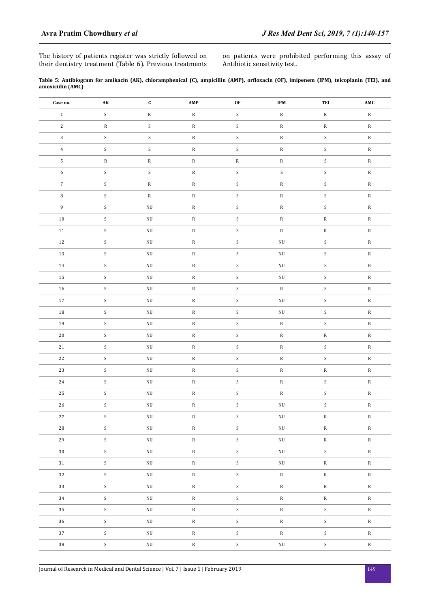The history of patients register was strictly followed on their dentistry treatment (Table 6). Previous treatments on patients were prohibited performing this assay of Antibiotic sensitivity test.

| Table 5: Antibiogram for amikacin (AK), chloramphenical (C), ampicillin (AMP), orfloxacin (OF), imipenem (IPM), teicoplanin (TEI), and |  |  |  |  |  |  |  |
|----------------------------------------------------------------------------------------------------------------------------------------|--|--|--|--|--|--|--|
| amoxiciilin (AMC)                                                                                                                      |  |  |  |  |  |  |  |

| Case no.     | AK                        | $\mathbf{C}$           | AMP             | OF                        | <b>IPM</b>      | TEI                       | $\boldsymbol{\mathsf{AMC}}$ |
|--------------|---------------------------|------------------------|-----------------|---------------------------|-----------------|---------------------------|-----------------------------|
| $\,1\,$      | $\boldsymbol{S}$          | ${\bf R}$              | ${\bf R}$       | $\boldsymbol{S}$          | ${\bf R}$       | ${\bf R}$                 | ${\bf R}$                   |
| $\sqrt{2}$   | ${\bf R}$                 | ${\sf S}$              | ${\bf R}$       | $\boldsymbol{\mathsf{S}}$ | ${\bf R}$       | ${\bf R}$                 | ${\bf R}$                   |
| $\mathbf{3}$ | $\boldsymbol{S}$          | $\mathsf S$            | ${\bf R}$       | $\mathsf S$               | ${\bf R}$       | ${\mathsf S}$             | ${\bf R}$                   |
| $\,4\,$      | ${\mathsf S}$             | ${\mathsf S}$          | ${\bf R}$       | $\boldsymbol{S}$          | ${\bf R}$       | $\boldsymbol{S}$          | ${\bf R}$                   |
|              | ${\bf R}$                 | ${\bf R}$              | ${\bf R}$       | ${\bf R}$                 | ${\bf R}$       | $\boldsymbol{S}$          | ${\bf R}$                   |
| $\mathbf 5$  | $\boldsymbol{\mathsf{S}}$ |                        |                 |                           | $\mathsf S$     | $\mathsf S$               |                             |
| $\sqrt{6}$   |                           | ${\sf S}$              | ${\bf R}$       | ${\sf S}$                 |                 |                           | ${\bf R}$                   |
| $\sqrt{7}$   | $\boldsymbol{S}$          | ${\bf R}$              | ${\bf R}$       | ${\mathsf S}$             | ${\bf R}$       | $\boldsymbol{S}$          | ${\bf R}$                   |
| $\, 8$       | $\boldsymbol{S}$          | ${\bf R}$              | ${\bf R}$       | $\boldsymbol{\mathsf{S}}$ | ${\bf R}$       | ${\sf S}$                 | ${\bf R}$                   |
| 9            | $\boldsymbol{S}$          | $\rm N U$              | ${\bf R}$       | $\boldsymbol{S}$          | ${\bf R}$       | ${\mathsf S}$             | ${\bf R}$                   |
| $10\,$       | $\boldsymbol{S}$          | $\rm N U$              | ${\bf R}$       | $\mathbf S$               | ${\bf R}$       | ${\bf R}$                 | ${\bf R}$                   |
| $11\,$       | ${\mathsf S}$             | $\rm N U$              | ${\bf R}$       | $\boldsymbol{\mathsf{S}}$ | ${\bf R}$       | ${\bf R}$                 | ${\bf R}$                   |
| $12\,$       | ${\mathsf S}$             | $\rm N U$              | ${\bf R}$       | ${\sf S}$                 | $\rm N U$       | ${\sf S}$                 | ${\bf R}$                   |
| $13\,$       | ${\mathsf S}$             | $\rm N U$              | ${\bf R}$       | $\mathbf S$               | $\rm N U$       | ${\mathsf S}$             | ${\bf R}$                   |
| 14           | $\boldsymbol{S}$          | $\rm N U$              | ${\bf R}$       | ${\mathsf S}$             | $\rm N U$       | $\boldsymbol{S}$          | ${\bf R}$                   |
| $15\,$       | $\boldsymbol{S}$          | $\mathbf{N}\mathbf{U}$ | ${\bf R}$       | $\boldsymbol{S}$          | $\rm N U$       | $\mathsf S$               | ${\bf R}$                   |
| $16\,$       | ${\mathsf S}$             | $\rm N U$              | ${\bf R}$       | ${\mathsf S}$             | ${\bf R}$       | $\boldsymbol{S}$          | ${\bf R}$                   |
| 17           | ${\mathsf S}$             | $\rm N U$              | ${\bf R}$       | ${\mathsf S}$             | $\rm N U$       | $\boldsymbol{S}$          | ${\bf R}$                   |
| $18\,$       | $\boldsymbol{S}$          | $\rm{NU}$              | ${\bf R}$       | $\mathsf S$               | $\rm N U$       | $\boldsymbol{\mathsf{S}}$ | ${\bf R}$                   |
| $19\,$       | $\boldsymbol{S}$          | $\rm N U$              | ${\bf R}$       | ${\mathsf S}$             | ${\bf R}$       | ${\mathsf S}$             | ${\bf R}$                   |
| $20\,$       | ${\mathsf S}$             | $\rm N U$              | ${\bf R}$       | $\boldsymbol{S}$          | ${\bf R}$       | ${\bf R}$                 | ${\bf R}$                   |
| $21\,$       | $\boldsymbol{S}$          | $\rm N U$              | ${\bf R}$       | $\mathsf S$               | ${\bf R}$       | $\boldsymbol{S}$          | ${\bf R}$                   |
| $22\,$       | $\boldsymbol{S}$          | $\rm N U$              | ${\bf R}$       | ${\mathsf S}$             | ${\bf R}$       | ${\mathsf S}$             | ${\bf R}$                   |
| $23\,$       | $\boldsymbol{S}$          | $\mathbf{N}\mathbf{U}$ | ${\bf R}$       | $\boldsymbol{S}$          | ${\bf R}$       | ${\bf R}$                 | ${\bf R}$                   |
| $\bf 24$     | ${\mathsf S}$             | $\rm{NU}$              | ${\bf R}$       | ${\mathsf S}$             | ${\bf R}$       | $\boldsymbol{S}$          | ${\bf R}$                   |
| $25\,$       | ${\mathsf S}$             | $\rm N U$              | ${\bf R}$       | ${\mathsf S}$             | ${\bf R}$       | ${\mathsf S}$             | ${\bf R}$                   |
| $26\,$       | $\boldsymbol{S}$          | $\rm N U$              | ${\bf R}$       | $\mathsf S$               | $\rm N U$       | ${\sf S}$                 | ${\bf R}$                   |
| $27\,$       | S                         | $\rm N U$              | ${\bf R}$       | S                         | $\rm N U$       | ${\bf R}$                 | ${\bf R}$                   |
| 28           | ${\mathsf S}$             | $\rm N U$              | ${\bf R}$       | ${\mathsf S}$             | $\rm N U$       | $\mathbf R$               | $\mathbb{R}$                |
| 29           | ${\mathsf S}$             | $\rm N U$              | ${\bf R}$       | $\boldsymbol{\mathsf{S}}$ | $\rm N U$       | ${\bf R}$                 | ${\bf R}$                   |
| 30           | ${\mathsf S}$             | $\rm N U$              | $\, {\bf R} \,$ | ${\mathsf S}$             | $\rm N U$       | S                         | ${\bf R}$                   |
| 31           | ${\sf S}$                 | $\rm N U$              | $\, {\bf R} \,$ | ${\mathsf S}$             | $\rm N U$       | ${\bf R}$                 | ${\bf R}$                   |
| 32           | ${\mathsf S}$             | $\rm N U$              | ${\bf R}$       | ${\sf S}$                 | $\, {\bf R}$    | ${\bf R}$                 | ${\bf R}$                   |
| 33           | ${\mathsf S}$             | $\rm N U$              | $\, {\bf R} \,$ | ${\mathsf S}$             | $\, {\bf R}$    | ${\bf R}$                 | $\mathbb{R}$                |
| 34           | $\mathsf S$               | $\rm N U$              | $\mathbf R$     | ${\mathsf S}$             | ${\bf R}$       | $\mathbf R$               | ${\bf R}$                   |
| 35           | ${\mathsf S}$             | $\rm N U$              | ${\bf R}$       | ${\mathsf S}$             | $\mathbf R$     | ${\mathsf S}$             | ${\bf R}$                   |
| 36           | ${\mathsf S}$             | $\rm N U$              | $\, {\bf R} \,$ | ${\sf S}$                 | ${\bf R}$       | S                         | ${\bf R}$                   |
| 37           | $\mathsf S$               | $\rm N U$              | $\mathbf R$     | $\mathsf S$               | $\, {\bf R} \,$ | ${\mathsf S}$             | ${\bf R}$                   |
| $38\,$       | ${\sf S}$                 | $\rm N U$              | ${\bf R}$       | ${\sf S}$                 | $\rm N U$       | ${\sf S}$                 | ${\bf R}$                   |
|              |                           |                        |                 |                           |                 |                           |                             |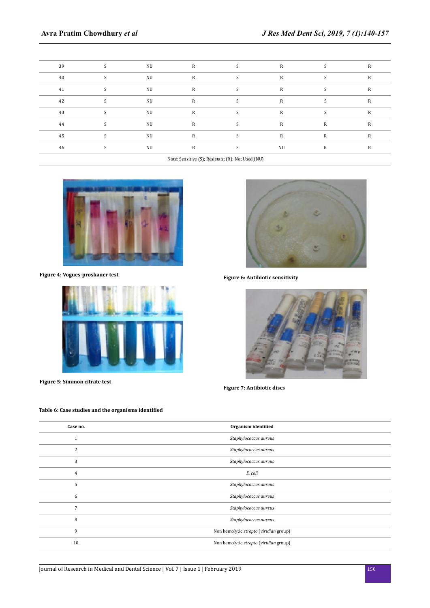| 39 | NU | R |        | R         |   | R |
|----|----|---|--------|-----------|---|---|
| 40 | NU | R |        | R         |   | R |
| 41 | NU | R | $\sim$ | R         |   | R |
| 42 | NU | R | $\sim$ | R         |   | R |
| 43 | NU | R |        | R         |   | R |
| 44 | NU | R | $\sim$ | R         | R | R |
| 45 | NU | R |        | R         | R | R |
| 46 | NU | R | S      | <b>NU</b> | R | R |
|    |    |   |        |           |   |   |

Note: Sensitive (S); Resistant (R); Not Used (NU)



**Figure 4: Vogues-proskauer test**



**Figure 5: Simmon citrate test**

# **Table 6: Case studies and the organisms identified**



**Figure 6: Antibiotic sensitivity**



**Figure 7: Antibiotic discs**

| Case no. | Organism identified                    |
|----------|----------------------------------------|
|          | Staphylococcus aureus                  |
| 2        | Staphylococcus aureus                  |
| 3        | Staphylococcus aureus                  |
| 4        | E. coli                                |
| 5        | Staphylococcus aureus                  |
| 6        | Staphylococcus aureus                  |
| 7        | Staphylococcus aureus                  |
| 8        | Staphylococcus aureus                  |
| 9        | Non hemolytic strepto (viridian group) |
| 10       | Non hemolytic strepto (viridian group) |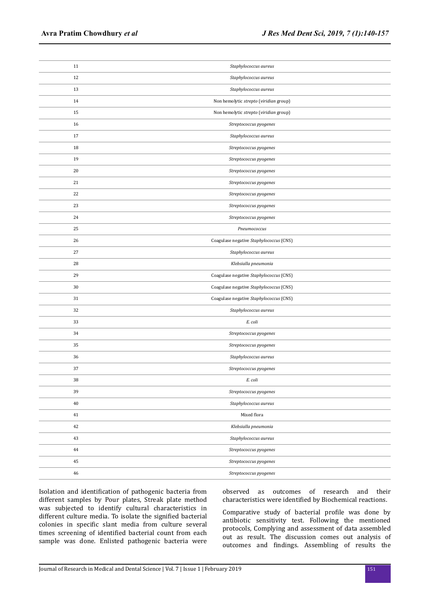| 11          | Staphylococcus aureus                   |
|-------------|-----------------------------------------|
| 12          | Staphylococcus aureus                   |
| 13          | Staphylococcus aureus                   |
| 14          | Non hemolytic strepto (viridian group)  |
| 15          | Non hemolytic strepto (viridian group)  |
| 16          | Streptococcus pyogenes                  |
| 17          | Staphylococcus aureus                   |
| 18          | Streptococcus pyogenes                  |
| 19          | Streptococcus pyogenes                  |
| 20          | Streptococcus pyogenes                  |
| 21          | Streptococcus pyogenes                  |
| 22          | Streptococcus pyogenes                  |
| 23          | Streptococcus pyogenes                  |
| 24          | Streptococcus pyogenes                  |
| 25          | Pneumococcus                            |
| 26          | Coagulase negative Staphylococcus (CNS) |
| 27          | Staphylococcus aureus                   |
| 28          | Klebsialla pneumonia                    |
| 29          | Coagulase negative Staphylococcus (CNS) |
| 30          | Coagulase negative Staphylococcus (CNS) |
| 31          | Coagulase negative Staphylococcus (CNS) |
| 32          | Staphylococcus aureus                   |
| 33          | E. coli                                 |
| $34\,$      | Streptococcus pyogenes                  |
| 35          | Streptococcus pyogenes                  |
| 36          | Staphylococcus aureus                   |
| 37          | Streptococcus pyogenes                  |
| 38          | E. coli                                 |
| 39          | Streptococcus pyogenes                  |
| $40\,$      | Staphylococcus aureus                   |
| 41          | Mixed flora                             |
| 42          | Klebsialla pneumonia                    |
| 43          | Staphylococcus aureus                   |
| 44          | Streptococcus pyogenes                  |
| 45          | Streptococcus pyogenes                  |
| $\sqrt{46}$ | Streptococcus pyogenes                  |

Isolation and identification of pathogenic bacteria from different samples by Pour plates, Streak plate method was subjected to identify cultural characteristics in different culture media. To isolate the signified bacterial colonies in specific slant media from culture several times screening of identified bacterial count from each sample was done. Enlisted pathogenic bacteria were observed as outcomes of research and their characteristics were identified by Biochemical reactions.

Comparative study of bacterial profile was done by antibiotic sensitivity test. Following the mentioned protocols, Complying and assessment of data assembled out as result. The discussion comes out analysis of outcomes and findings. Assembling of results the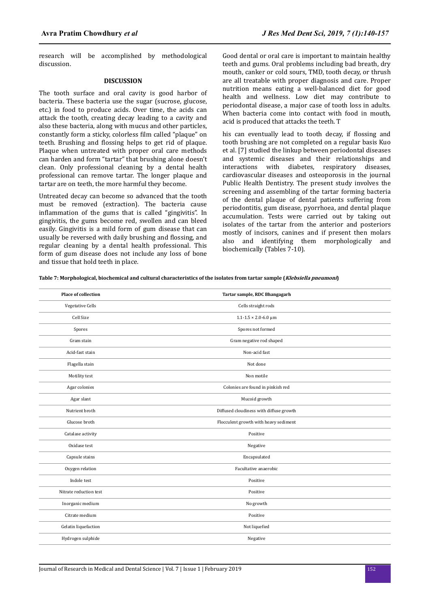research will be accomplished by methodological discussion.

#### **DISCUSSION**

The tooth surface and oral cavity is good harbor of bacteria. These bacteria use the sugar (sucrose, glucose, etc.) in food to produce acids. Over time, the acids can attack the tooth, creating decay leading to a cavity and also these bacteria, along with mucus and other particles, constantly form a sticky, colorless film called "plaque" on teeth. Brushing and flossing helps to get rid of plaque. Plaque when untreated with proper oral care methods can harden and form "tartar" that brushing alone doesn't clean. Only professional cleaning by a dental health professional can remove tartar. The longer plaque and tartar are on teeth, the more harmful they become.

Untreated decay can become so advanced that the tooth must be removed (extraction). The bacteria cause inflammation of the gums that is called "gingivitis". In gingivitis, the gums become red, swollen and can bleed easily. Gingivitis is a mild form of gum disease that can usually be reversed with daily brushing and flossing, and regular cleaning by a dental health professional. This form of gum disease does not include any loss of bone and tissue that hold teeth in place.

Good dental or oral care is important to maintain healthy teeth and gums. Oral problems including bad breath, dry mouth, canker or cold sours, TMD, tooth decay, or thrush are all treatable with proper diagnosis and care. Proper nutrition means eating a well-balanced diet for good health and wellness. Low diet may contribute to periodontal disease, a major case of tooth loss in adults. When bacteria come into contact with food in mouth, acid is produced that attacks the teeth. T

his can eventually lead to tooth decay, if flossing and tooth brushing are not completed on a regular basis Kuo et al. [7] studied the linkup between periodontal diseases and systemic diseases and their relationships and interactions with diabetes, respiratory diseases, cardiovascular diseases and osteoporosis in the journal Public Health Dentistry. The present study involves the screening and assembling of the tartar forming bacteria of the dental plaque of dental patients suffering from periodontitis, gum disease, pyorrhoea, and dental plaque accumulation. Tests were carried out by taking out isolates of the tartar from the anterior and posteriors mostly of incisors, canines and if present then molars also and identifying them morphologically and biochemically (Tables 7-10).

**Table 7: Morphological, biochemical and cultural characteristics of the isolates from tartar sample (Klebsiella pneumoni)**

| <b>Place of collection</b> | Tartar sample, RDC Bhangagarh                    |
|----------------------------|--------------------------------------------------|
| Vegetative Cells           | Cells straight rods                              |
| Cell Size                  | $1.1 - 1.5 \times 2.0 - 6.0 \text{ }\mu\text{m}$ |
| Spores                     | Spores not formed                                |
| Gram stain                 | Gram negative rod shaped                         |
| Acid-fast stain            | Non-acid fast                                    |
| Flagella stain             | Not done                                         |
| Motility test              | Non motile                                       |
| Agar colonies              | Colonies are found in pinkish red                |
| Agar slant                 | Mucoid growth                                    |
| Nutrient broth             | Diffused cloudiness with diffuse growth          |
| Glucose broth              | Flocculent growth with heavy sediment            |
| Catalase activity          | Positive                                         |
| Oxidase test               | Negative                                         |
| Capsule stains             | Encapsulated                                     |
| Oxygen relation            | Facultative anaerobic                            |
| Indole test                | Positive                                         |
| Nitrate reduction test     | Positive                                         |
| Inorganic medium           | No growth                                        |
| Citrate medium             | Positive                                         |
| Gelatin liquefaction       | Not liquefied                                    |
| Hydrogen sulphide          | Negative                                         |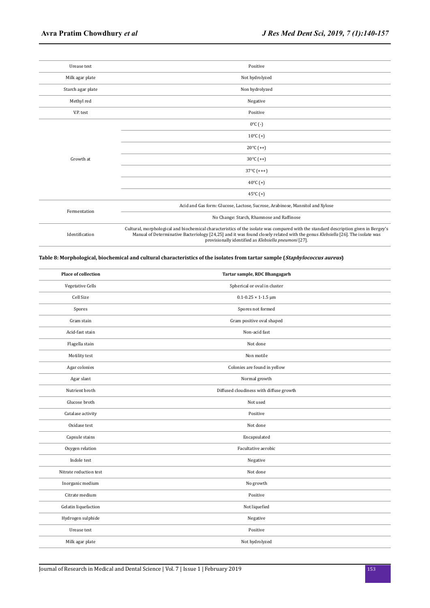| Urease test       | Positive                                                                                                                                                                                                                                                                                                                      |
|-------------------|-------------------------------------------------------------------------------------------------------------------------------------------------------------------------------------------------------------------------------------------------------------------------------------------------------------------------------|
| Milk agar plate   | Not hydrolyzed                                                                                                                                                                                                                                                                                                                |
| Starch agar plate | Non hydrolyzed                                                                                                                                                                                                                                                                                                                |
| Methyl red        | Negative                                                                                                                                                                                                                                                                                                                      |
| V.P. test         | Positive                                                                                                                                                                                                                                                                                                                      |
| Growth at         | $0^{\circ}$ C (-)                                                                                                                                                                                                                                                                                                             |
|                   | $10^{\circ}$ C $(+)$                                                                                                                                                                                                                                                                                                          |
|                   | $20^{\circ}$ C (++)                                                                                                                                                                                                                                                                                                           |
|                   | $30^{\circ}$ C (++)                                                                                                                                                                                                                                                                                                           |
|                   | $37^{\circ}$ C (+++)                                                                                                                                                                                                                                                                                                          |
|                   | 40 $^{\circ}$ C (+)                                                                                                                                                                                                                                                                                                           |
|                   | 45 $°C$ (+)                                                                                                                                                                                                                                                                                                                   |
| Fermentation      | Acid and Gas form: Glucose, Lactose, Sucrose, Arabinose, Mannitol and Xylose                                                                                                                                                                                                                                                  |
|                   | No Change: Starch, Rhamnose and Raffinose                                                                                                                                                                                                                                                                                     |
| Identification    | Cultural, morphological and biochemical characteristics of the isolate was compared with the standard description given in Bergey's<br>Manual of Determinative Bacteriology [24,25] and it was found closely related with the genus Klebsiella [26]. The isolate was<br>provisionally identified as Klebsiella pneumoni [27]. |

# **Table 8: Morphological, biochemical and cultural characteristics of the isolates from tartar sample (Staphylococcus aureus)**

| <b>Place of collection</b> | Tartar sample, RDC Bhangagarh           |
|----------------------------|-----------------------------------------|
| Vegetative Cells           | Spherical or oval in cluster            |
| Cell Size                  | $0.1 - 0.25 \times 1 - 1.5$ µm          |
| Spores                     | Spores not formed                       |
| Gram stain                 | Gram positive oval shaped               |
| Acid-fast stain            | Non-acid fast                           |
| Flagella stain             | Not done                                |
| Motility test              | Non motile                              |
| Agar colonies              | Colonies are found in yellow            |
| Agar slant                 | Normal growth                           |
| Nutrient broth             | Diffused cloudiness with diffuse growth |
| Glucose broth              | Not used                                |
| Catalase activity          | Positive                                |
| Oxidase test               | Not done                                |
| Capsule stains             | Encapsulated                            |
| Oxygen relation            | Facultative aerobic                     |
| Indole test                | Negative                                |
| Nitrate reduction test     | Not done                                |
| Inorganic medium           | No growth                               |
| Citrate medium             | Positive                                |
| Gelatin liquefaction       | Not liquefied                           |
| Hydrogen sulphide          | Negative                                |
| Urease test                | Positive                                |
| Milk agar plate            | Not hydrolyzed                          |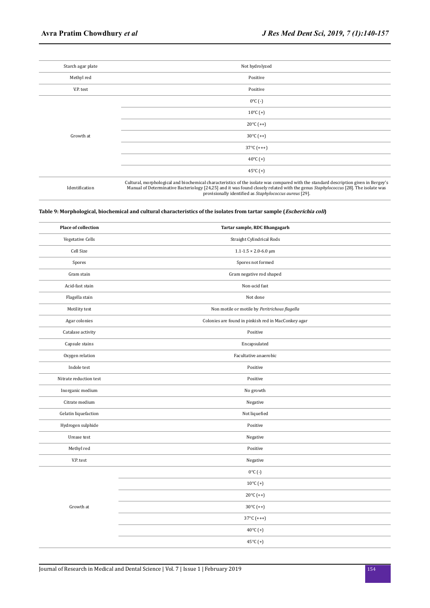| Starch agar plate | Not hydrolyzed       |
|-------------------|----------------------|
| Methyl red        | Positive             |
| V.P. test         | Positive             |
| Growth at         | $0^{\circ}$ C (-)    |
|                   | $10^{\circ}$ C (+)   |
|                   | $20^{\circ}$ C (++)  |
|                   | $30^{\circ}$ C (++)  |
|                   | $37^{\circ}$ C (+++) |
|                   | 40 $^{\circ}$ C (+)  |
|                   | 45 $°C$ (+)          |
|                   |                      |

Identification

Cultural, morphological and biochemical characteristics of the isolate was compared with the standard description given in Bergey's<br>Manual of Determinative Bacteriology [24,25] and it was found closely related with the gen

# **Table 9: Morphological, biochemical and cultural characteristics of the isolates from tartar sample (Escherichia coli)**

| Place of collection    | Tartar sample, RDC Bhangagarh                       |
|------------------------|-----------------------------------------------------|
| Vegetative Cells       | Straight Cylindrical Rods                           |
| Cell Size              | $1.1 - 1.5 \times 2.0 - 6.0 \text{ }\mu\text{m}$    |
| Spores                 | Spores not formed                                   |
| Gram stain             | Gram negative rod shaped                            |
| Acid-fast stain        | Non-acid fast                                       |
| Flagella stain         | Not done                                            |
| Motility test          | Non motile or motile by Peritrichous flagella       |
| Agar colonies          | Colonies are found in pinkish red in MacConkey agar |
| Catalase activity      | Positive                                            |
| Capsule stains         | Encapsulated                                        |
| Oxygen relation        | Facultative anaerobic                               |
| Indole test            | Positive                                            |
| Nitrate reduction test | Positive                                            |
| Inorganic medium       | No growth                                           |
| Citrate medium         | Negative                                            |
| Gelatin liquefaction   | Not liquefied                                       |
| Hydrogen sulphide      | Positive                                            |
| Urease test            | Negative                                            |
| Methyl red             | Positive                                            |
| V.P. test              | Negative                                            |
|                        | $0^{\circ}$ C (-)                                   |
|                        | $10^{\circ}$ C (+)                                  |
|                        | $20^{\circ}$ C (++)                                 |
| Growth at              | $30^{\circ}$ C (++)                                 |
|                        | $37^{\circ}$ C (+++)                                |
|                        | 40 $^{\circ}$ C (+)                                 |
|                        | 45°C (+)                                            |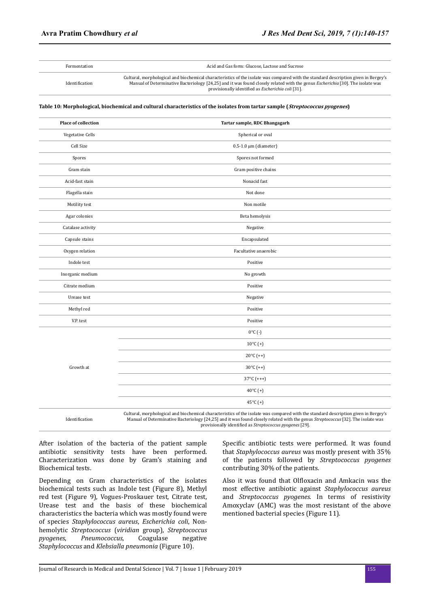Fermentation Acid and Gas form: Glucose, Lactose and Sucrose

Identification

Cultural, morphological and biochemical characteristics of the isolate was compared with the standard description given in Bergey's Manual of Determinative Bacteriology [24,25] and it was found closely related with the genus *Escherichia* [30]. The isolate was provisionally identified as *Escherichia coli* [31].

**Table 10: Morphological, biochemical and cultural characteristics of the isolates from tartar sample (Streptococcus pyogenes)**

| <b>Place of collection</b> | Tartar sample, RDC Bhangagarh |
|----------------------------|-------------------------------|
| Vegetative Cells           | Spherical or oval             |
| Cell Size                  | $0.5-1.0 \mu m$ (diameter)    |
| Spores                     | Spores not formed             |
| Gram stain                 | Gram positive chains          |
| Acid-fast stain            | Nonacid fast                  |
| Flagella stain             | Not done                      |
| Motility test              | Non motile                    |
| Agar colonies              | Beta hemolysis                |
| Catalase activity          | Negative                      |
| Capsule stains             | Encapsulated                  |
| Oxygen relation            | Facultative anaerobic         |
| Indole test                | Positive                      |
| Inorganic medium           | No growth                     |
| Citrate medium             | Positive                      |
| Urease test                | Negative                      |
| Methyl red                 | Positive                      |
| V.P. test                  | Positive                      |
|                            | $0^{\circ}$ C (-)             |
|                            | $10^{\circ}$ C (+)            |
|                            | $20^{\circ}$ C (++)           |
| Growth at                  | $30^{\circ}$ C (++)           |
|                            | $37^{\circ}$ C (+++)          |
|                            | 40 $^{\circ}$ C (+)           |
|                            | 45 $°C$ (+)                   |

Identification Cultural, morphological and biochemical characteristics of the isolate was compared with the standard description given in Bergey's Manual of Determinative Bacteriology [24,25] and it was found closely related with the genus *Streptococcus* [32]. The isolate was provisionally identified as *Streptococcus pyogenes* [29].

After isolation of the bacteria of the patient sample antibiotic sensitivity tests have been performed. Characterization was done by Gram's staining and Biochemical tests.

Depending on Gram characteristics of the isolates biochemical tests such as Indole test (Figure 8), Methyl red test (Figure 9), Vogues-Proskauer test, Citrate test, Urease test and the basis of these biochemical characteristics the bacteria which was mostly found were of species *Staphylococcus aureus*, *Escherichia coli*, Nonhemolytic *Streptococcus* (*viridian* group), *Streptococcus pyogenes*, *Pneumococcus*, Coagulase negative *Staphylococcus* and *Klebsialla pneumonia* (Figure 10).

Specific antibiotic tests were performed. It was found that *Staphylococcus aureus* was mostly present with 35% of the patients followed by *Streptococcus pyogenes* contributing 30% of the patients.

Also it was found that Olfloxacin and Amkacin was the most effective antibiotic against *Staphylococcus aureus* and *Streptococcus pyogenes*. In terms of resistivity Amoxyclav (AMC) was the most resistant of the above mentioned bacterial species (Figure 11).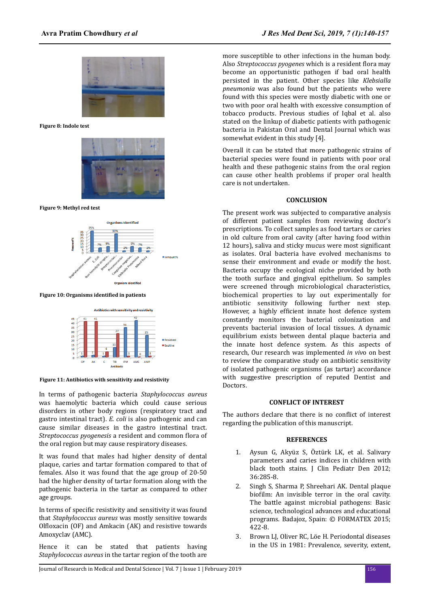

**Figure 8: Indole test**



**Figure 9: Methyl red test**



**Figure 10: Organisms identified in patients** 



**Figure 11: Antibiotics with sensitivity and resistivity**

In terms of pathogenic bacteria *Staphylococcus aureus* was haemolytic bacteria which could cause serious disorders in other body regions (respiratory tract and gastro intestinal tract). *E. coli* is also pathogenic and can cause similar diseases in the gastro intestinal tract. *Streptococcus pyogenesis* a resident and common flora of the oral region but may cause respiratory diseases.

It was found that males had higher density of dental plaque, caries and tartar formation compared to that of females. Also it was found that the age group of 20-50 had the higher density of tartar formation along with the pathogenic bacteria in the tartar as compared to other age groups.

In terms of specific resistivity and sensitivity it was found that *Staphylococcus aureus* was mostly sensitive towards Olfloxacin (OF) and Amkacin (AK) and resistive towards Amoxyclav (AMC).

Hence it can be stated that patients having *Staphylococcus aureus* in the tartar region of the tooth are more susceptible to other infections in the human body. Also *Streptococcus pyogenes* which is a resident flora may become an opportunistic pathogen if bad oral health persisted in the patient. Other species like *Klebsialla pneumonia* was also found but the patients who were found with this species were mostly diabetic with one or two with poor oral health with excessive consumption of tobacco products. Previous studies of Iqbal et al. also stated on the linkup of diabetic patients with pathogenic bacteria in Pakistan Oral and Dental Journal which was somewhat evident in this study [4].

Overall it can be stated that more pathogenic strains of bacterial species were found in patients with poor oral health and these pathogenic stains from the oral region can cause other health problems if proper oral health care is not undertaken.

## **CONCLUSION**

The present work was subjected to comparative analysis of different patient samples from reviewing doctor's prescriptions. To collect samples as food tartars or caries in old culture from oral cavity (after having food within 12 hours), saliva and sticky mucus were most significant as isolates. Oral bacteria have evolved mechanisms to sense their environment and evade or modify the host. Bacteria occupy the ecological niche provided by both the tooth surface and gingival epithelium. So samples were screened through microbiological characteristics, biochemical properties to lay out experimentally for antibiotic sensitivity following further next step. However, a highly efficient innate host defence system constantly monitors the bacterial colonization and prevents bacterial invasion of local tissues. A dynamic equilibrium exists between dental plaque bacteria and the innate host defence system. As this aspects of research, Our research was implemented *in viv*o on best to review the comparative study on antibiotic sensitivity of isolated pathogenic organisms (as tartar) accordance with suggestive prescription of reputed Dentist and Doctors.

### **CONFLICT OF INTEREST**

The authors declare that there is no conflict of interest regarding the publication of this manuscript.

# **REFERENCES**

- 1. Aysun G, Akyüz S, Öztürk LK, et al. Salivary parameters and caries indices in children with black tooth stains. J Clin Pediatr Den 2012; 36:285-8.
- 2. Singh S, Sharma P, Shreehari AK. Dental plaque biofilm: An invisible terror in the oral cavity. The battle against microbial pathogens: Basic science, technological advances and educational programs. Badajoz, Spain: © FORMATEX 2015; 422-8.
- 3. Brown LJ, Oliver RC, Löe H. Periodontal diseases in the US in 1981: Prevalence, severity, extent,